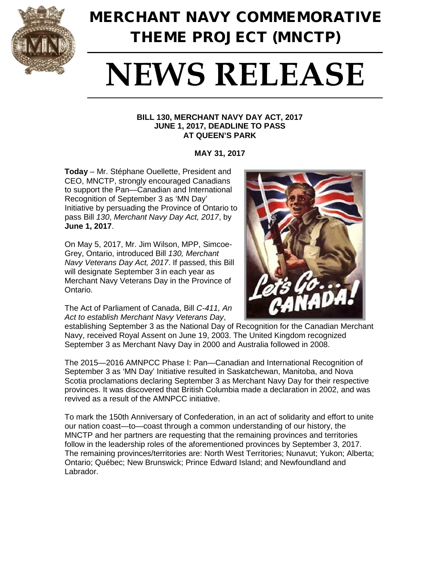

## MERCHANT NAVY COMMEMORATIVE THEME PROJECT (MNCTP)

# **NEWS RELEASE**

#### **BILL 130, MERCHANT NAVY DAY ACT, 2017 JUNE 1, 2017, DEADLINE TO PASS AT QUEEN'S PARK**

**MAY 31, 2017**

**Today** – Mr. Stéphane Ouellette, President and CEO, MNCTP, strongly encouraged Canadians to support the Pan—Canadian and International Recognition of September 3 as 'MN Day' Initiative by persuading the Province of Ontario to pass Bill *130*, *Merchant Navy Day Act, 2017*, by **June 1, 2017**.

On May 5, 2017, Mr. Jim Wilson, MPP, Simcoe-Grey, Ontario, introduced Bill *130, Merchant Navy Veterans Day Act, 2017*. If passed, this Bill will designate September 3 in each year as Merchant Navy Veterans Day in the Province of Ontario.

The Act of Parliament of Canada, Bill *C-411, An Act to establish Merchant Navy Veterans Day*,



establishing September 3 as the National Day of Recognition for the Canadian Merchant Navy, received Royal Assent on June 19, 2003. The United Kingdom recognized September 3 as Merchant Navy Day in 2000 and Australia followed in 2008.

The 2015—2016 AMNPCC Phase I: Pan—Canadian and International Recognition of September 3 as 'MN Day' Initiative resulted in Saskatchewan, Manitoba, and Nova Scotia proclamations declaring September 3 as Merchant Navy Day for their respective provinces. It was discovered that British Columbia made a declaration in 2002, and was revived as a result of the AMNPCC initiative.

To mark the 150th Anniversary of Confederation, in an act of solidarity and effort to unite our nation coast—to—coast through a common understanding of our history, the MNCTP and her partners are requesting that the remaining provinces and territories follow in the leadership roles of the aforementioned provinces by September 3, 2017. The remaining provinces/territories are: North West Territories; Nunavut; Yukon; Alberta; Ontario; Québec; New Brunswick; Prince Edward Island; and Newfoundland and Labrador.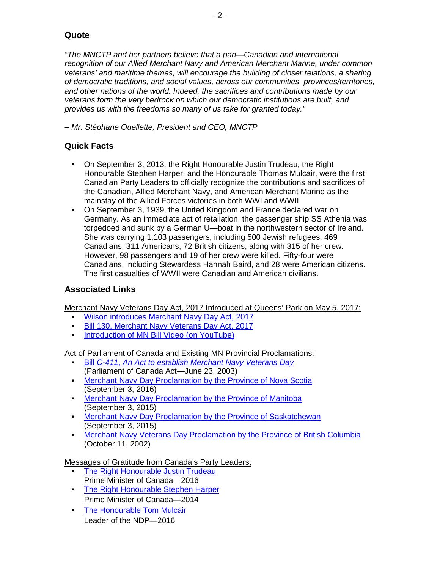#### **Quote**

*"The MNCTP and her partners believe that a pan—Canadian and international recognition of our Allied Merchant Navy and American Merchant Marine, under common veterans' and maritime themes, will encourage the building of closer relations, a sharing of democratic traditions, and social values, across our communities, provinces/territories, and other nations of the world. Indeed, the sacrifices and contributions made by our veterans form the very bedrock on which our democratic institutions are built, and provides us with the freedoms so many of us take for granted today."*

*– Mr. Stéphane Ouellette, President and CEO, MNCTP*

#### **Quick Facts**

- On September 3, 2013, the Right Honourable Justin Trudeau, the Right Honourable Stephen Harper, and the Honourable Thomas Mulcair, were the first Canadian Party Leaders to officially recognize the contributions and sacrifices of the Canadian, Allied Merchant Navy, and American Merchant Marine as the mainstay of the Allied Forces victories in both WWI and WWII.
- On September 3, 1939, the United Kingdom and France declared war on Germany. As an immediate act of retaliation, the passenger ship SS Athenia was torpedoed and sunk by a German U—boat in the northwestern sector of Ireland. She was carrying 1,103 passengers, including 500 Jewish refugees, 469 Canadians, 311 Americans, 72 British citizens, along with 315 of her crew. However, 98 passengers and 19 of her crew were killed. Fifty-four were Canadians, including Stewardess Hannah Baird, and 28 were American citizens. The first casualties of WWII were Canadian and American civilians.

#### **Associated Links**

Merchant Navy Veterans Day Act, 2017 Introduced at Queens' Park on May 5, 2017:

- [Wilson introduces Merchant Navy Day Act, 2017](http://www.jimwilsonmpp.com/newsroom/press-releases)
- [Bill 130, Merchant Navy Veterans Day Act, 2017](http://www.ontla.on.ca/web/bills/bills_detail.do?locale=en&Intranet=&BillID=4836)
- [Introduction of MN Bill Video \(on YouTube\)](https://www.youtube.com/watch?v=9ip1HsTsaq0)

Act of Parliament of Canada and Existing MN Provincial Proclamations:

- Bill *C-411*, *[An Act to establish Merchant Navy Veterans Day](http://www.alliedmerchantnavy.com/documents/Merchant-Navy-Veterans-Day-Act.pdf)* (Parliament of Canada Act—June 23, 2003)
- [Merchant Navy Day Proclamation by the Province of Nova Scotia](http://www.alliedmerchantnavy.com/mnctp/messages/canada/provinces/documents/Nova-Scotia-Merchat-Navy-Day.pdf) (September 3, 2016)
- **[Merchant Navy Day Proclamation by the Province of Manitoba](http://www.alliedmerchantnavy.com/mnctp/messages/canada/provinces/images/manitoba-mn-proclamation.jpg)** (September 3, 2015)
- [Merchant Navy Day Proclamation by the Province of Saskatchewan](http://www.alliedmerchantnavy.com/mnctp/messages/canada/provinces/documents/mnd-certificate-of-recognition-saskatchewan.pdf) (September 3, 2015)
- **[Merchant Navy Veterans Day Proclamation by the Province of British Columbia](http://www.qp.gov.bc.ca/statreg/oic/2004/procs/MerchantNavy.htm)** (October 11, 2002)

Messages of Gratitude from Canada's Party Leaders;

- [The Right Honourable Justin Trudeau](http://www.alliedmerchantnavy.com/mnctp/messages/canada/hoc/jtrudeau.html) Prime Minister of Canada—2016
- **[The Right Honourable Stephen Harper](http://www.alliedmerchantnavy.com/mnctp/messages/canada/hoc/legacy/sharper.html)** Prime Minister of Canada—2014
- **[The Honourable Tom Mulcair](http://www.alliedmerchantnavy.com/mnctp/messages/canada/hoc/tmulcair.html)** Leader of the NDP—2016